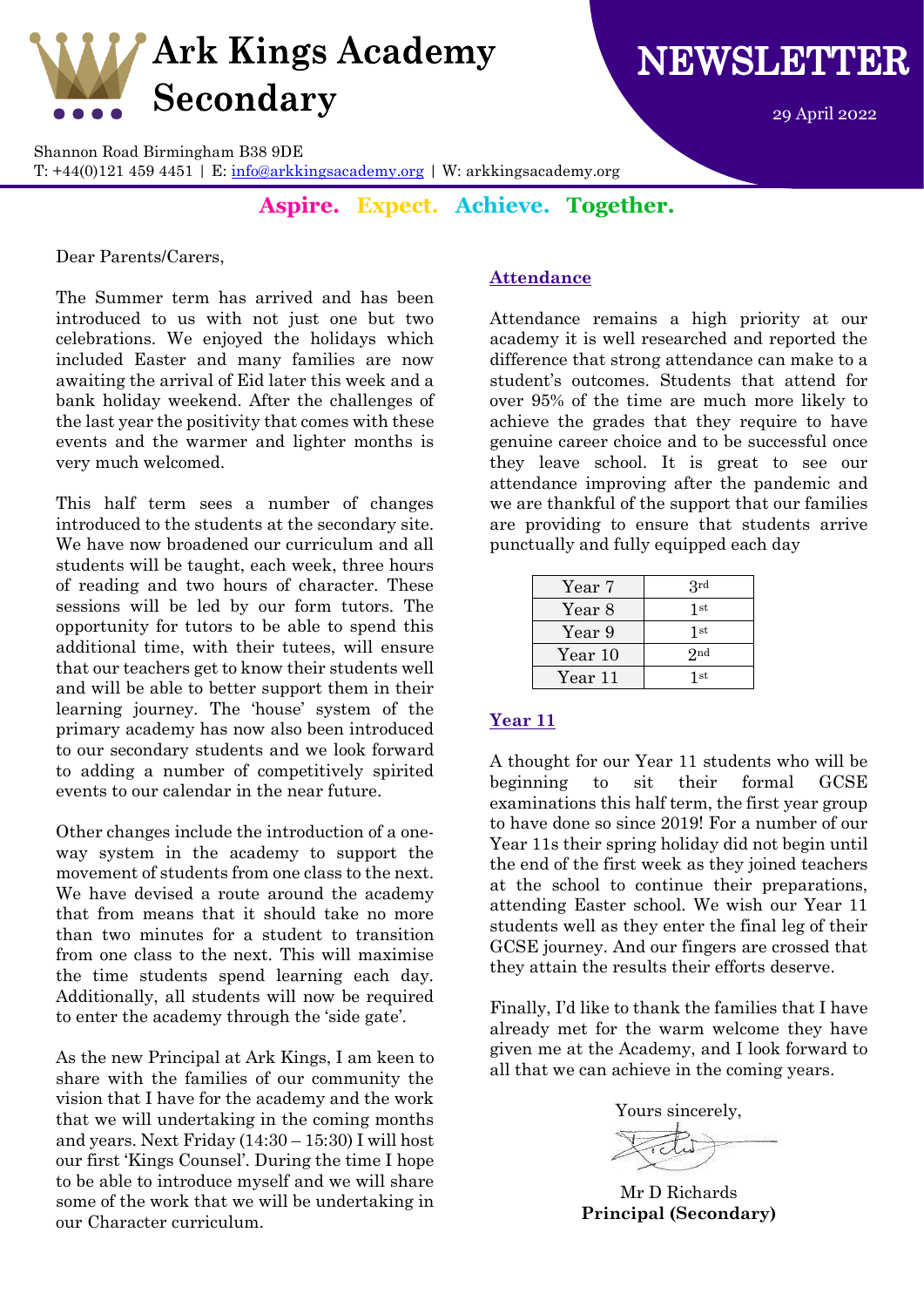

NEWSLETTER

29 April 2022

Shannon Road Birmingham B38 9DE

T:  $+44(0)121$  459 4451 | E: [info@arkkingsacademy.org](mailto:info@arkkingsacademy.org) | W: arkkingsacademy.org

**Aspire. Expect. Achieve. Together.**

Dear Parents/Carers,

The Summer term has arrived and has been introduced to us with not just one but two celebrations. We enjoyed the holidays which included Easter and many families are now awaiting the arrival of Eid later this week and a bank holiday weekend. After the challenges of the last year the positivity that comes with these events and the warmer and lighter months is very much welcomed.

This half term sees a number of changes introduced to the students at the secondary site. We have now broadened our curriculum and all students will be taught, each week, three hours of reading and two hours of character. These sessions will be led by our form tutors. The opportunity for tutors to be able to spend this additional time, with their tutees, will ensure that our teachers get to know their students well and will be able to better support them in their learning journey. The 'house' system of the primary academy has now also been introduced to our secondary students and we look forward to adding a number of competitively spirited events to our calendar in the near future.

Other changes include the introduction of a oneway system in the academy to support the movement of students from one class to the next. We have devised a route around the academy that from means that it should take no more than two minutes for a student to transition from one class to the next. This will maximise the time students spend learning each day. Additionally, all students will now be required to enter the academy through the 'side gate'.

As the new Principal at Ark Kings, I am keen to share with the families of our community the vision that I have for the academy and the work that we will undertaking in the coming months and years. Next Friday (14:30 – 15:30) I will host our first 'Kings Counsel'. During the time I hope to be able to introduce myself and we will share some of the work that we will be undertaking in our Character curriculum.

## **Attendance**

Attendance remains a high priority at our academy it is well researched and reported the difference that strong attendance can make to a student's outcomes. Students that attend for over 95% of the time are much more likely to achieve the grades that they require to have genuine career choice and to be successful once they leave school. It is great to see our attendance improving after the pandemic and we are thankful of the support that our families are providing to ensure that students arrive punctually and fully equipped each day

| Year 7  | 3rd              |
|---------|------------------|
| Year 8  | 1st              |
| Year 9  | 1st              |
| Year 10 | 2nd              |
| Year 11 | $1\,\mathrm{st}$ |

## **Year 11**

A thought for our Year 11 students who will be beginning to sit their formal GCSE examinations this half term, the first year group to have done so since 2019! For a number of our Year 11s their spring holiday did not begin until the end of the first week as they joined teachers at the school to continue their preparations, attending Easter school. We wish our Year 11 students well as they enter the final leg of their GCSE journey. And our fingers are crossed that they attain the results their efforts deserve.

Finally, I'd like to thank the families that I have already met for the warm welcome they have given me at the Academy, and I look forward to all that we can achieve in the coming years.

Yours sincerely,

Mr D Richards **Principal (Secondary)**